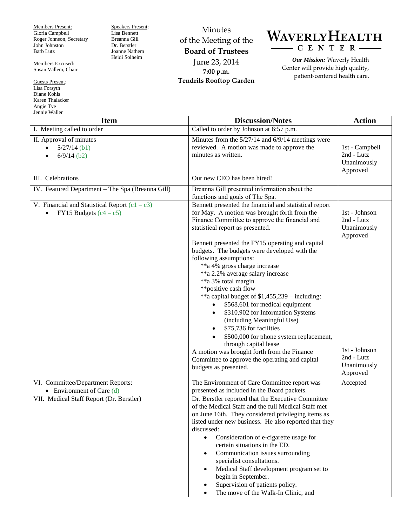Members Present: Gloria Campbell Roger Johnson, Secretary John Johnston Barb Lutz

Members Excused: Susan Vallem, Chair

Guests Present: Lisa Forsyth Diane Kohls Karen Thalacker Angie Tye Jennie Waller

Speakers Present: Lisa Bennett Breanna Gill Dr. Berstler Joanne Nathem Heidi Solheim

Minutes of the Meeting of the **Board of Trustees** June 23, 2014 **7:00 p.m. Tendrils Rooftop Garden**



*Our Mission:* Waverly Health Center will provide high quality, patient-centered health care.

| Jennie Waller<br><b>Item</b>                                                             | <b>Discussion/Notes</b>                                                                                                                                                                                                                                                                                                                                                                                                                                                                                                                                                                                                                                                                                                                                                                                                                     | <b>Action</b>                                                                                                    |
|------------------------------------------------------------------------------------------|---------------------------------------------------------------------------------------------------------------------------------------------------------------------------------------------------------------------------------------------------------------------------------------------------------------------------------------------------------------------------------------------------------------------------------------------------------------------------------------------------------------------------------------------------------------------------------------------------------------------------------------------------------------------------------------------------------------------------------------------------------------------------------------------------------------------------------------------|------------------------------------------------------------------------------------------------------------------|
| I. Meeting called to order                                                               | Called to order by Johnson at 6:57 p.m.                                                                                                                                                                                                                                                                                                                                                                                                                                                                                                                                                                                                                                                                                                                                                                                                     |                                                                                                                  |
| II. Approval of minutes<br>$5/27/14$ (b1)<br>$\bullet$<br>$6/9/14$ (b2)<br>$\bullet$     | Minutes from the 5/27/14 and 6/9/14 meetings were<br>reviewed. A motion was made to approve the<br>minutes as written.                                                                                                                                                                                                                                                                                                                                                                                                                                                                                                                                                                                                                                                                                                                      | 1st - Campbell<br>2nd - Lutz<br>Unanimously<br>Approved                                                          |
| III. Celebrations                                                                        | Our new CEO has been hired!                                                                                                                                                                                                                                                                                                                                                                                                                                                                                                                                                                                                                                                                                                                                                                                                                 |                                                                                                                  |
| IV. Featured Department - The Spa (Breanna Gill)                                         | Breanna Gill presented information about the<br>functions and goals of The Spa.                                                                                                                                                                                                                                                                                                                                                                                                                                                                                                                                                                                                                                                                                                                                                             |                                                                                                                  |
| V. Financial and Statistical Report $(c1 - c3)$<br>FY15 Budgets $(c4 - c5)$<br>$\bullet$ | Bennett presented the financial and statistical report<br>for May. A motion was brought forth from the<br>Finance Committee to approve the financial and<br>statistical report as presented.<br>Bennett presented the FY15 operating and capital<br>budgets. The budgets were developed with the<br>following assumptions:<br>**a 4% gross charge increase<br>**a 2.2% average salary increase<br>**a 3% total margin<br>**positive cash flow<br>**a capital budget of \$1,455,239 – including:<br>\$568,601 for medical equipment<br>$\bullet$<br>\$310,902 for Information Systems<br>(including Meaningful Use)<br>\$75,736 for facilities<br>\$500,000 for phone system replacement,<br>through capital lease<br>A motion was brought forth from the Finance<br>Committee to approve the operating and capital<br>budgets as presented. | 1st - Johnson<br>2nd - Lutz<br>Unanimously<br>Approved<br>1st - Johnson<br>2nd - Lutz<br>Unanimously<br>Approved |
| VI. Committee/Department Reports:                                                        | The Environment of Care Committee report was                                                                                                                                                                                                                                                                                                                                                                                                                                                                                                                                                                                                                                                                                                                                                                                                | Accepted                                                                                                         |
| • Environment of Care $(d)$                                                              | presented as included in the Board packets.                                                                                                                                                                                                                                                                                                                                                                                                                                                                                                                                                                                                                                                                                                                                                                                                 |                                                                                                                  |
| VII. Medical Staff Report (Dr. Berstler)                                                 | Dr. Berstler reported that the Executive Committee<br>of the Medical Staff and the full Medical Staff met<br>on June 16th. They considered privileging items as<br>listed under new business. He also reported that they<br>discussed:<br>Consideration of e-cigarette usage for<br>$\bullet$<br>certain situations in the ED.<br>Communication issues surrounding<br>specialist consultations.<br>Medical Staff development program set to<br>begin in September.<br>Supervision of patients policy.<br>The move of the Walk-In Clinic, and                                                                                                                                                                                                                                                                                                |                                                                                                                  |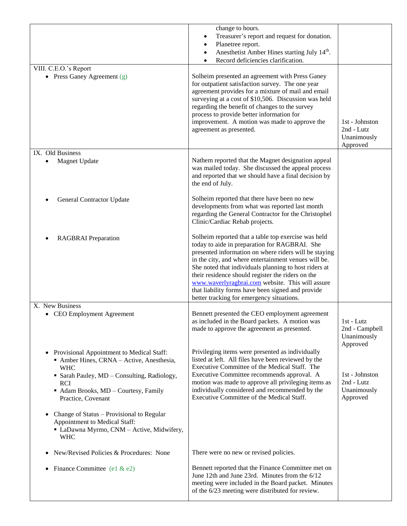|                                                                                                                                                  | change to hours.                                                                                                                                                                                                                                                                                                                                                                                                                                                                          |                                                         |
|--------------------------------------------------------------------------------------------------------------------------------------------------|-------------------------------------------------------------------------------------------------------------------------------------------------------------------------------------------------------------------------------------------------------------------------------------------------------------------------------------------------------------------------------------------------------------------------------------------------------------------------------------------|---------------------------------------------------------|
|                                                                                                                                                  | Treasurer's report and request for donation.                                                                                                                                                                                                                                                                                                                                                                                                                                              |                                                         |
|                                                                                                                                                  | Planetree report.                                                                                                                                                                                                                                                                                                                                                                                                                                                                         |                                                         |
|                                                                                                                                                  | Anesthetist Amber Hines starting July 14 <sup>th</sup> .<br>Record deficiencies clarification.                                                                                                                                                                                                                                                                                                                                                                                            |                                                         |
| VIII. C.E.O.'s Report                                                                                                                            |                                                                                                                                                                                                                                                                                                                                                                                                                                                                                           |                                                         |
| • Press Ganey Agreement $(g)$<br>IX. Old Business                                                                                                | Solheim presented an agreement with Press Ganey<br>for outpatient satisfaction survey. The one year<br>agreement provides for a mixture of mail and email<br>surveying at a cost of \$10,506. Discussion was held<br>regarding the benefit of changes to the survey<br>process to provide better information for<br>improvement. A motion was made to approve the<br>agreement as presented.                                                                                              | 1st - Johnston<br>2nd - Lutz<br>Unanimously<br>Approved |
|                                                                                                                                                  | Nathem reported that the Magnet designation appeal                                                                                                                                                                                                                                                                                                                                                                                                                                        |                                                         |
| <b>Magnet Update</b>                                                                                                                             | was mailed today. She discussed the appeal process<br>and reported that we should have a final decision by<br>the end of July.                                                                                                                                                                                                                                                                                                                                                            |                                                         |
| General Contractor Update                                                                                                                        | Solheim reported that there have been no new<br>developments from what was reported last month<br>regarding the General Contractor for the Christophel<br>Clinic/Cardiac Rehab projects.                                                                                                                                                                                                                                                                                                  |                                                         |
| <b>RAGBRAI</b> Preparation                                                                                                                       | Solheim reported that a table top exercise was held<br>today to aide in preparation for RAGBRAI. She<br>presented information on where riders will be staying<br>in the city, and where entertainment venues will be.<br>She noted that individuals planning to host riders at<br>their residence should register the riders on the<br>www.waverlyragbrai.com website. This will assure<br>that liability forms have been signed and provide<br>better tracking for emergency situations. |                                                         |
| X. New Business                                                                                                                                  |                                                                                                                                                                                                                                                                                                                                                                                                                                                                                           |                                                         |
| • CEO Employment Agreement                                                                                                                       | Bennett presented the CEO employment agreement<br>as included in the Board packets. A motion was<br>made to approve the agreement as presented.                                                                                                                                                                                                                                                                                                                                           | 1st - Lutz<br>2nd - Campbell<br>Unanimously<br>Approved |
| Provisional Appointment to Medical Staff:<br>$\bullet$<br>• Amber Hines, CRNA - Active, Anesthesia,<br><b>WHC</b>                                | Privileging items were presented as individually<br>listed at left. All files have been reviewed by the<br>Executive Committee of the Medical Staff. The                                                                                                                                                                                                                                                                                                                                  |                                                         |
| • Sarah Pauley, MD - Consulting, Radiology,                                                                                                      | Executive Committee recommends approval. A                                                                                                                                                                                                                                                                                                                                                                                                                                                | 1st - Johnston                                          |
| <b>RCI</b>                                                                                                                                       | motion was made to approve all privileging items as                                                                                                                                                                                                                                                                                                                                                                                                                                       | 2nd - Lutz                                              |
| • Adam Brooks, MD - Courtesy, Family<br>Practice, Covenant                                                                                       | individually considered and recommended by the<br>Executive Committee of the Medical Staff.                                                                                                                                                                                                                                                                                                                                                                                               | Unanimously<br>Approved                                 |
| Change of Status - Provisional to Regular<br>$\bullet$<br>Appointment to Medical Staff:<br>LaDawna Myrmo, CNM - Active, Midwifery,<br><b>WHC</b> |                                                                                                                                                                                                                                                                                                                                                                                                                                                                                           |                                                         |
| New/Revised Policies & Procedures: None<br>$\bullet$                                                                                             | There were no new or revised policies.                                                                                                                                                                                                                                                                                                                                                                                                                                                    |                                                         |
| Finance Committee (e1 & e2)<br>$\bullet$                                                                                                         | Bennett reported that the Finance Committee met on<br>June 12th and June 23rd. Minutes from the 6/12<br>meeting were included in the Board packet. Minutes<br>of the 6/23 meeting were distributed for review.                                                                                                                                                                                                                                                                            |                                                         |